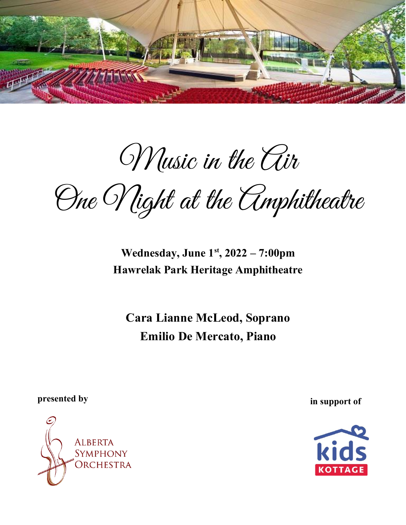

Music in the Air

One Night at the Amphitheatre

**Wednesday, June 1st, 2022 –7:00pm Hawrelak Park Heritage Amphitheatre**

**Cara Lianne McLeod, Soprano Emilio De Mercato, Piano**

**presented by in support of** 



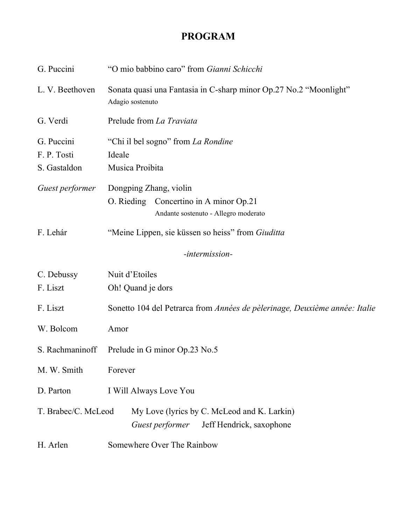# **PROGRAM**

| G. Puccini          | "O mio babbino caro" from Gianni Schicchi                                                  |
|---------------------|--------------------------------------------------------------------------------------------|
| L. V. Beethoven     | Sonata quasi una Fantasia in C-sharp minor Op.27 No.2 "Moonlight"<br>Adagio sostenuto      |
| G. Verdi            | Prelude from La Traviata                                                                   |
| G. Puccini          | "Chi il bel sogno" from La Rondine                                                         |
| F.P.Tosti           | Ideale                                                                                     |
| S. Gastaldon        | Musica Proibita                                                                            |
| Guest performer     | Dongping Zhang, violin                                                                     |
|                     | O. Rieding<br>Concertino in A minor Op.21                                                  |
|                     | Andante sostenuto - Allegro moderato                                                       |
| F. Lehár            | "Meine Lippen, sie küssen so heiss" from Giuditta                                          |
|                     | -intermission-                                                                             |
| C. Debussy          | Nuit d'Etoiles                                                                             |
| F. Liszt            | Oh! Quand je dors                                                                          |
| F. Liszt            | Sonetto 104 del Petrarca from Années de pèlerinage, Deuxième année: Italie                 |
| W. Bolcom           | Amor                                                                                       |
| S. Rachmaninoff     | Prelude in G minor Op.23 No.5                                                              |
| M. W. Smith         | Forever                                                                                    |
| D. Parton           | I Will Always Love You                                                                     |
| T. Brabec/C. McLeod | My Love (lyrics by C. McLeod and K. Larkin)<br>Jeff Hendrick, saxophone<br>Guest performer |
| H. Arlen            | Somewhere Over The Rainbow                                                                 |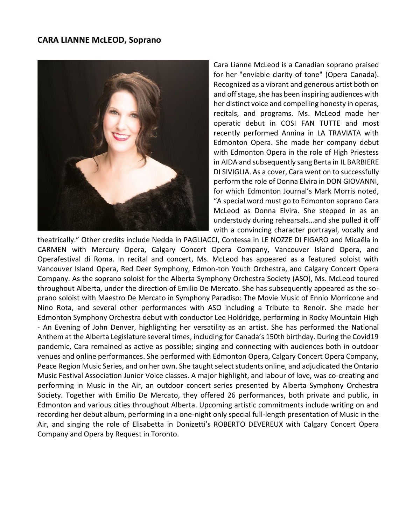

Cara Lianne McLeod is a Canadian soprano praised for her "enviable clarity of tone" (Opera Canada). Recognized as a vibrant and generous artist both on and off stage, she has been inspiring audiences with her distinct voice and compelling honesty in operas, recitals, and programs. Ms. McLeod made her operatic debut in COSI FAN TUTTE and most recently performed Annina in LA TRAVIATA with Edmonton Opera. She made her company debut with Edmonton Opera in the role of High Priestess in AIDA and subsequently sang Berta in IL BARBIERE DI SIVIGLIA. As a cover, Cara went on to successfully perform the role of Donna Elvira in DON GIOVANNI, for which Edmonton Journal's Mark Morris noted, "A special word must go to Edmonton soprano Cara McLeod as Donna Elvira. She stepped in as an understudy during rehearsals…and she pulled it off with a convincing character portrayal, vocally and

theatrically." Other credits include Nedda in PAGLIACCI, Contessa in LE NOZZE DI FIGARO and Micaëla in CARMEN with Mercury Opera, Calgary Concert Opera Company, Vancouver Island Opera, and Operafestival di Roma. In recital and concert, Ms. McLeod has appeared as a featured soloist with Vancouver Island Opera, Red Deer Symphony, Edmon-ton Youth Orchestra, and Calgary Concert Opera Company. As the soprano soloist for the Alberta Symphony Orchestra Society (ASO), Ms. McLeod toured throughout Alberta, under the direction of Emilio De Mercato. She has subsequently appeared as the soprano soloist with Maestro De Mercato in Symphony Paradiso: The Movie Music of Ennio Morricone and Nino Rota, and several other performances with ASO including a Tribute to Renoir. She made her Edmonton Symphony Orchestra debut with conductor Lee Holdridge, performing in Rocky Mountain High - An Evening of John Denver, highlighting her versatility as an artist. She has performed the National Anthem at the Alberta Legislature several times, including for Canada's 150th birthday. During the Covid19 pandemic, Cara remained as active as possible; singing and connecting with audiences both in outdoor venues and online performances. She performed with Edmonton Opera, Calgary Concert Opera Company, Peace Region Music Series, and on her own. She taught select students online, and adjudicated the Ontario Music Festival Association Junior Voice classes. A major highlight, and labour of love, was co-creating and performing in Music in the Air, an outdoor concert series presented by Alberta Symphony Orchestra Society. Together with Emilio De Mercato, they offered 26 performances, both private and public, in Edmonton and various cities throughout Alberta. Upcoming artistic commitments include writing on and recording her debut album, performing in a one-night only special full-length presentation of Music in the Air, and singing the role of Elisabetta in Donizetti's ROBERTO DEVEREUX with Calgary Concert Opera Company and Opera by Request in Toronto.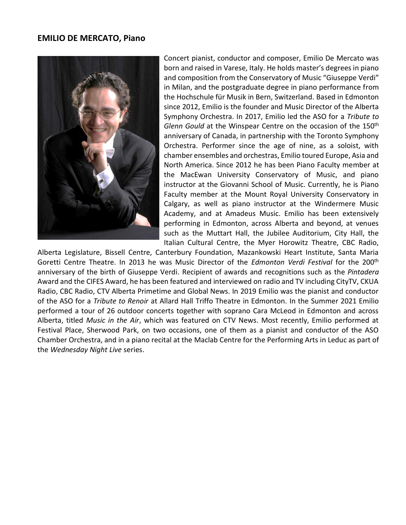#### **EMILIO DE MERCATO, Piano**



Concert pianist, conductor and composer, Emilio De Mercato was born and raised in Varese, Italy. He holds master's degrees in piano and composition from the Conservatory of Music "Giuseppe Verdi" in Milan, and the postgraduate degree in piano performance from the Hochschule für Musik in Bern, Switzerland. Based in Edmonton since 2012, Emilio is the founder and Music Director of the Alberta Symphony Orchestra. In 2017, Emilio led the ASO for a *Tribute to Glenn Gould* at the Winspear Centre on the occasion of the 150<sup>th</sup> anniversary of Canada, in partnership with the Toronto Symphony Orchestra. Performer since the age of nine, as a soloist, with chamber ensembles and orchestras, Emilio toured Europe, Asia and North America. Since 2012 he has been Piano Faculty member at the MacEwan University Conservatory of Music, and piano instructor at the Giovanni School of Music. Currently, he is Piano Faculty member at the Mount Royal University Conservatory in Calgary, as well as piano instructor at the Windermere Music Academy, and at Amadeus Music. Emilio has been extensively performing in Edmonton, across Alberta and beyond, at venues such as the Muttart Hall, the Jubilee Auditorium, City Hall, the Italian Cultural Centre, the Myer Horowitz Theatre, CBC Radio,

Alberta Legislature, Bissell Centre, Canterbury Foundation, Mazankowski Heart Institute, Santa Maria Goretti Centre Theatre. In 2013 he was Music Director of the *Edmonton Verdi Festival* for the 200th anniversary of the birth of Giuseppe Verdi. Recipient of awards and recognitions such as the *Pintadera* Award and the CIFES Award, he has been featured and interviewed on radio and TV including CityTV, CKUA Radio, CBC Radio, CTV Alberta Primetime and Global News. In 2019 Emilio was the pianist and conductor of the ASO for a *Tribute to Renoir* at Allard Hall Triffo Theatre in Edmonton. In the Summer 2021 Emilio performed a tour of 26 outdoor concerts together with soprano Cara McLeod in Edmonton and across Alberta, titled *Music in the Air*, which was featured on CTV News. Most recently, Emilio performed at Festival Place, Sherwood Park, on two occasions, one of them as a pianist and conductor of the ASO Chamber Orchestra, and in a piano recital at the Maclab Centre for the Performing Arts in Leduc as part of the *Wednesday Night Live* series.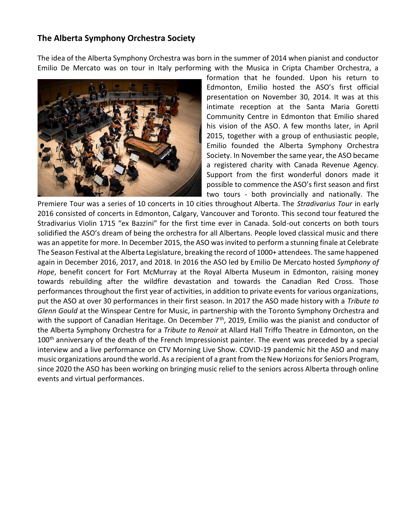## **The Alberta Symphony Orchestra Society**

The idea of the Alberta Symphony Orchestra was born in the summer of 2014 when pianist and conductor Emilio De Mercato was on tour in Italy performing with the Musica in Cripta Chamber Orchestra, a



formation that he founded. Upon his return to Edmonton, Emilio hosted the ASO's first official presentation on November 30, 2014. It was at this intimate reception at the Santa Maria Goretti Community Centre in Edmonton that Emilio shared his vision of the ASO. A few months later, in April 2015, together with a group of enthusiastic people, Emilio founded the Alberta Symphony Orchestra Society. In November the same year, the ASO became a registered charity with Canada Revenue Agency. Support from the first wonderful donors made it possible to commence the ASO's first season and first two tours - both provincially and nationally. The

Premiere Tour was a series of 10 concerts in 10 cities throughout Alberta. The *Stradivarius Tour* in early 2016 consisted of concerts in Edmonton, Calgary, Vancouver and Toronto. This second tour featured the Stradivarius Violin 1715 "ex Bazzini" for the first time ever in Canada. Sold-out concerts on both tours solidified the ASO's dream of being the orchestra for all Albertans. People loved classical music and there was an appetite for more. In December 2015, the ASO was invited to perform a stunning finale at Celebrate The Season Festival at the Alberta Legislature, breaking the record of 1000+ attendees. The same happened again in December 2016, 2017, and 2018. In 2016 the ASO led by Emilio De Mercato hosted *Symphony of Hope*, benefit concert for Fort McMurray at the Royal Alberta Museum in Edmonton, raising money towards rebuilding after the wildfire devastation and towards the Canadian Red Cross. Those performances throughout the first year of activities, in addition to private events for various organizations, put the ASO at over 30 performances in their first season. In 2017 the ASO made history with a *Tribute to Glenn Gould* at the Winspear Centre for Music, in partnership with the Toronto Symphony Orchestra and with the support of Canadian Heritage. On December  $7<sup>th</sup>$ , 2019, Emilio was the pianist and conductor of the Alberta Symphony Orchestra for a *Tribute to Renoir* at Allard Hall Triffo Theatre in Edmonton, on the 100<sup>th</sup> anniversary of the death of the French Impressionist painter. The event was preceded by a special interview and a live performance on CTV Morning Live Show. COVID-19 pandemic hit the ASO and many music organizations around the world. As a recipient of a grant from the New Horizons for Seniors Program, since 2020 the ASO has been working on bringing music relief to the seniors across Alberta through online events and virtual performances.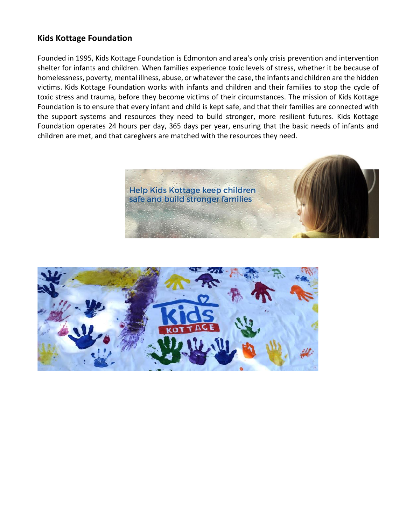## **Kids Kottage Foundation**

Founded in 1995, Kids Kottage Foundation is Edmonton and area's only crisis prevention and intervention shelter for infants and children. When families experience toxic levels of stress, whether it be because of homelessness, poverty, mental illness, abuse, or whatever the case, the infants and children are the hidden victims. Kids Kottage Foundation works with infants and children and their families to stop the cycle of toxic stress and trauma, before they become victims of their circumstances. The mission of Kids Kottage Foundation is to ensure that every infant and child is kept safe, and that their families are connected with the support systems and resources they need to build stronger, more resilient futures. Kids Kottage Foundation operates 24 hours per day, 365 days per year, ensuring that the basic needs of infants and children are met, and that caregivers are matched with the resources they need.



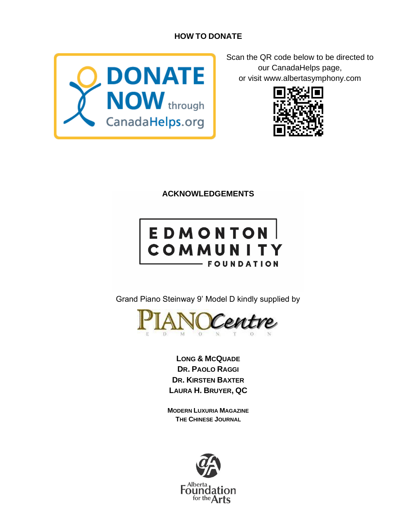# **HOW TO DONATE**



Scan the QR code below to be directed to our CanadaHelps page, or visit www.albertasymphony.com



**ACKNOWLEDGEMENTS**

# EDMONTON<br>COMMUNITY **FOUNDATION**

Grand Piano Steinway 9' Model D kindly supplied by



**LONG & MCQUADE DR. PAOLO RAGGI DR. KIRSTEN BAXTER LAURA H. BRUYER, QC**

**MODERN LUXURIA MAGAZINE THE CHINESE JOURNAL**

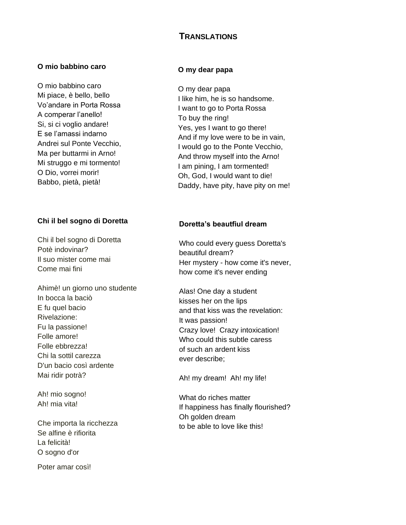# **TRANSLATIONS**

#### **O mio babbino caro**

O mio babbino caro Mi piace, è bello, bello Vo'andare in Porta Rossa A comperar l'anello! Si, si ci voglio andare! E se l'amassi indarno Andrei sul Ponte Vecchio, Ma per buttarmi in Arno! Mi struggo e mi tormento! O Dio, vorrei morir! Babbo, pietà, pietà!

#### **Chi il bel sogno di Doretta**

Chi il bel sogno di Doretta Potè indovinar? Il suo mister come mai Come mai fini

Ahimè! un giorno uno studente In bocca la baciò E fu quel bacio Rivelazione: Fu la passione! Folle amore! Folle ebbrezza! Chi la sottil carezza D'un bacio così ardente Mai ridir potrà?

Ah! mio sogno! Ah! mia vita!

Che importa la ricchezza Se alfine è rifiorita La felicità! O sogno d'or

Poter amar così!

#### **O my dear papa**

O my dear papa I like him, he is so handsome. I want to go to Porta Rossa To buy the ring! Yes, yes I want to go there! And if my love were to be in vain, I would go to the Ponte Vecchio, And throw myself into the Arno! I am pining, I am tormented! Oh, God, I would want to die! Daddy, have pity, have pity on me!

#### **Doretta's beautfiul dream**

Who could every guess Doretta's beautiful dream? Her mystery - how come it's never, how come it's never ending

Alas! One day a student kisses her on the lips and that kiss was the revelation: It was passion! Crazy love! Crazy intoxication! Who could this subtle caress of such an ardent kiss ever describe;

Ah! my dream! Ah! my life!

What do riches matter If happiness has finally flourished? Oh golden dream to be able to love like this!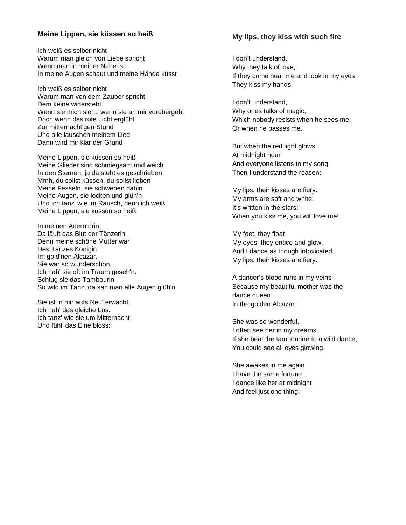#### **Meine Lippen, sie küssen so heiß**

Ich weiß es selber nicht Warum man gleich von Liebe spricht Wenn man in meiner Nähe ist In meine Augen schaut und meine Hände küsst

Ich weiß es selber nicht Warum man von dem Zauber spricht Dem keine widersteht Wenn sie mich sieht, wenn sie an mir vorübergeht Doch wenn das rote Licht erglüht Zur mitternächt'gen Stund' Und alle lauschen meinem Lied Dann wird mir klar der Grund

Meine Lippen, sie küssen so heiß Meine Glieder sind schmiegsam und weich In den Sternen, ja da steht es geschrieben Mmh, du sollst küssen, du sollst lieben Meine Fesseln, sie schweben dahin Meine Augen, sie locken und glüh'n Und ich tanz' wie im Rausch, denn ich weiß Meine Lippen, sie küssen so heiß

In meinen Adern drin, Da läuft das Blut der Tänzerin, Denn meine schöne Mutter war Des Tanzes Königin Im gold'nen Alcazar. Sie war so wunderschön, Ich hab' sie oft im Traum geseh'n. Schlug sie das Tambourin So wild im Tanz, da sah man alle Augen glüh'n.

Sie ist in mir aufs Neu' erwacht, Ich hab' das gleiche Los. Ich tanz' wie sie um Mitternacht Und fühl' das Eine bloss:

#### **My lips, they kiss with such fire**

I don't understand, Why they talk of love, If they come near me and look in my eyes They kiss my hands.

I don't understand, Why ones talks of magic, Which nobody resists when he sees me Or when he passes me.

But when the red light glows At midnight hour And everyone listens to my song, Then I understand the reason:

My lips, their kisses are fiery. My arms are soft and white, It's written in the stars: When you kiss me, you will love me!

My feet, they float My eyes, they entice and glow, And I dance as though intoxicated My lips, their kisses are fiery.

A dancer's blood runs in my veins Because my beautiful mother was the dance queen In the golden Alcazar.

She was so wonderful, I often see her in my dreams. If she beat the tambourine to a wild dance, You could see all eyes glowing.

She awakes in me again I have the same fortune I dance like her at midnight And feel just one thing: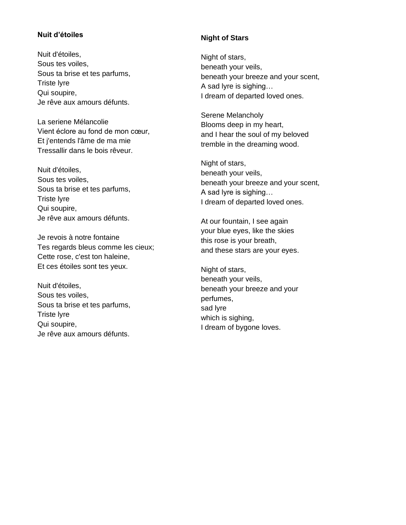#### **Nuit d'étoiles**

Nuit d'étoiles, Sous tes voiles, Sous ta brise et tes parfums, Triste lyre Qui soupire, Je rêve aux amours défunts.

La seriene Mélancolie Vient éclore au fond de mon cœur, Et j'entends l'âme de ma mie Tressallir dans le bois rêveur.

Nuit d'étoiles, Sous tes voiles, Sous ta brise et tes parfums, Triste lyre Qui soupire, Je rêve aux amours défunts.

Je revois à notre fontaine Tes regards bleus comme les cieux; Cette rose, c'est ton haleine, Et ces étoiles sont tes yeux.

Nuit d'étoiles, Sous tes voiles, Sous ta brise et tes parfums, Triste lyre Qui soupire, Je rêve aux amours défunts.

#### **Night of Stars**

Night of stars, beneath your veils, beneath your breeze and your scent, A sad lyre is sighing… I dream of departed loved ones.

Serene Melancholy Blooms deep in my heart, and I hear the soul of my beloved tremble in the dreaming wood.

Night of stars, beneath your veils, beneath your breeze and your scent, A sad lyre is sighing… I dream of departed loved ones.

At our fountain, I see again your blue eyes, like the skies this rose is your breath, and these stars are your eyes.

Night of stars, beneath your veils, beneath your breeze and your perfumes, sad lyre which is sighing, I dream of bygone loves.